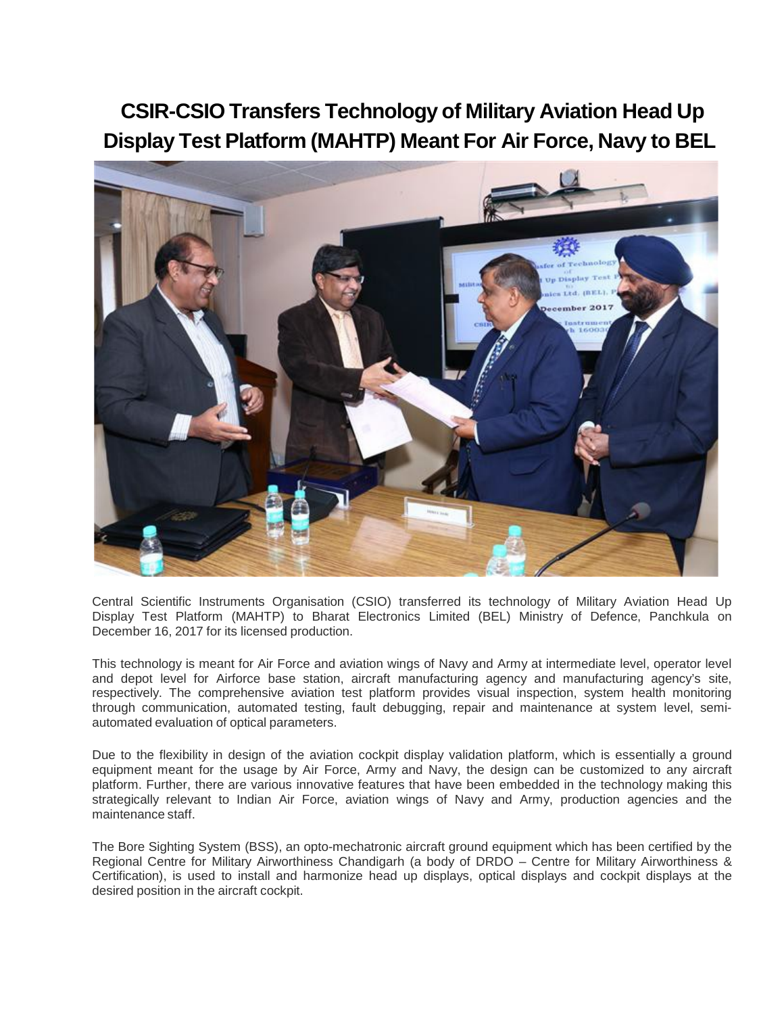## **CSIR-CSIO Transfers Technology of Military Aviation Head Up Display Test Platform (MAHTP) Meant For Air Force, Navy to BEL**



Central Scientific Instruments Organisation (CSIO) transferred its technology of Military Aviation Head Up Display Test Platform (MAHTP) to Bharat Electronics Limited (BEL) Ministry of Defence, Panchkula on December 16, 2017 for its licensed production.

This technology is meant for Air Force and aviation wings of Navy and Army at intermediate level, operator level and depot level for Airforce base station, aircraft manufacturing agency and manufacturing agency's site, respectively. The comprehensive aviation test platform provides visual inspection, system health monitoring through communication, automated testing, fault debugging, repair and maintenance at system level, semiautomated evaluation of optical parameters.

Due to the flexibility in design of the aviation cockpit display validation platform, which is essentially a ground equipment meant for the usage by Air Force, Army and Navy, the design can be customized to any aircraft platform. Further, there are various innovative features that have been embedded in the technology making this strategically relevant to Indian Air Force, aviation wings of Navy and Army, production agencies and the maintenance staff.

The Bore Sighting System (BSS), an opto-mechatronic aircraft ground equipment which has been certified by the Regional Centre for Military Airworthiness Chandigarh (a body of DRDO – Centre for Military Airworthiness & Certification), is used to install and harmonize head up displays, optical displays and cockpit displays at the desired position in the aircraft cockpit.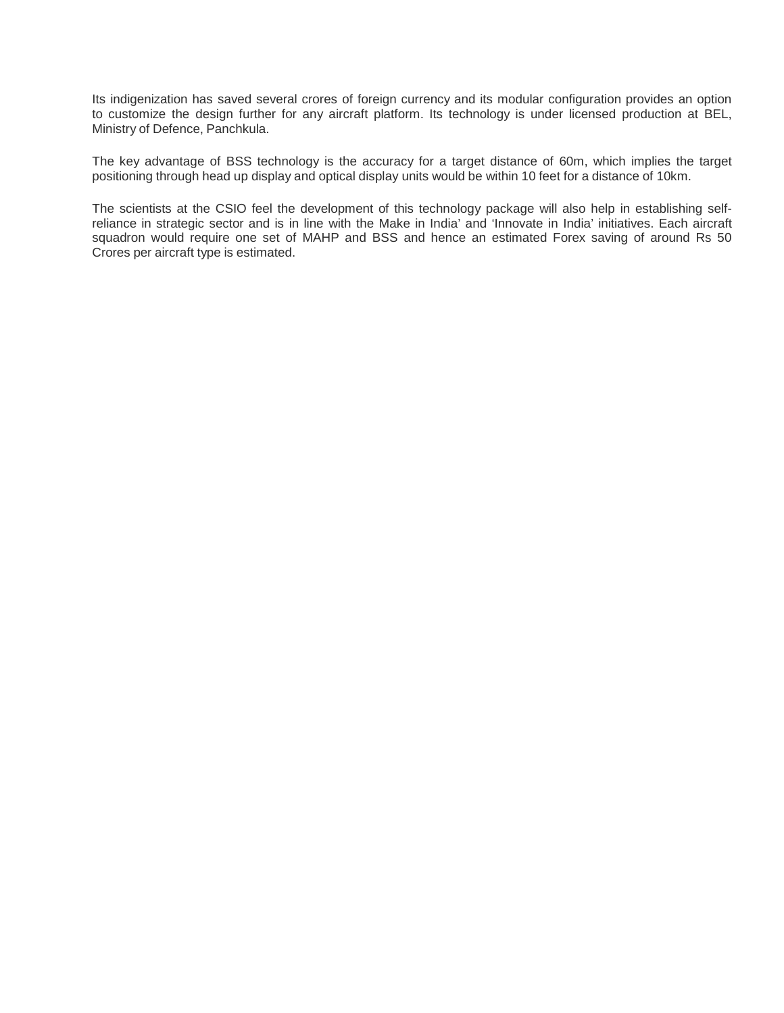Its indigenization has saved several crores of foreign currency and its modular configuration provides an option to customize the design further for any aircraft platform. Its technology is under licensed production at BEL, Ministry of Defence, Panchkula.

The key advantage of BSS technology is the accuracy for a target distance of 60m, which implies the target positioning through head up display and optical display units would be within 10 feet for a distance of 10km.

The scientists at the CSIO feel the development of this technology package will also help in establishing selfreliance in strategic sector and is in line with the Make in India' and 'Innovate in India' initiatives. Each aircraft squadron would require one set of MAHP and BSS and hence an estimated Forex saving of around Rs 50 Crores per aircraft type is estimated.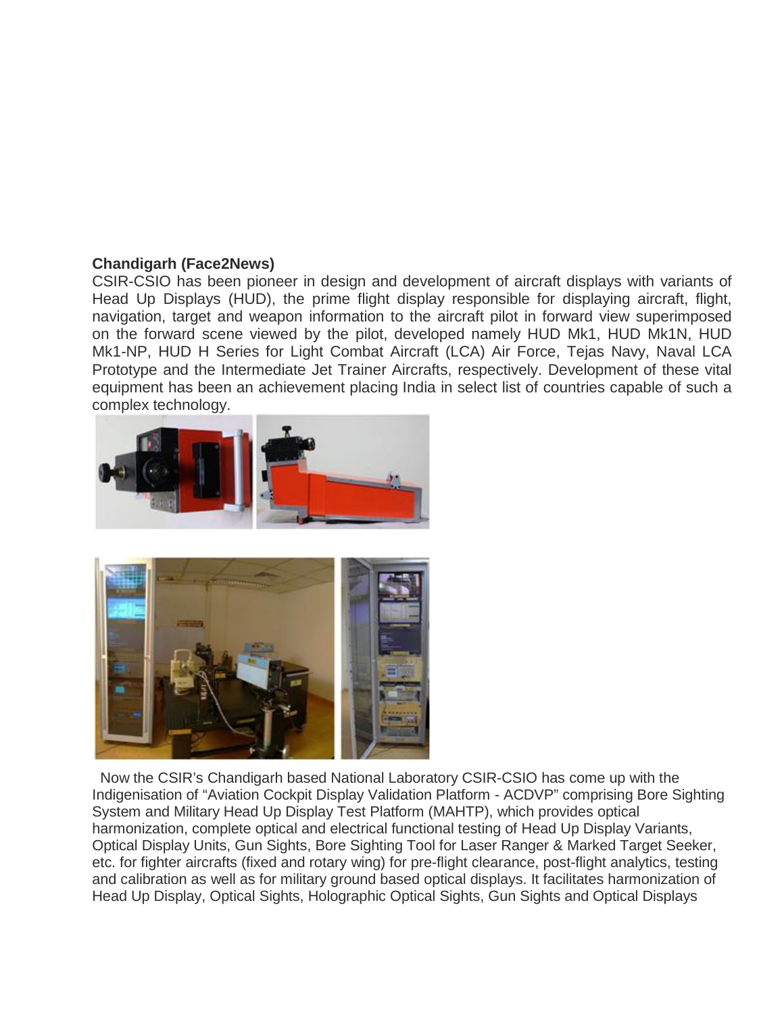## **Chandigarh (Face2News)**

CSIR-CSIO has been pioneer in design and development of aircraft displays with variants of Head Up Displays (HUD), the prime flight display responsible for displaying aircraft, flight, navigation, target and weapon information to the aircraft pilot in forward view superimposed on the forward scene viewed by the pilot, developed namely HUD Mk1, HUD Mk1N, HUD Mk1-NP, HUD H Series for Light Combat Aircraft (LCA) Air Force, Tejas Navy, Naval LCA Prototype and the Intermediate Jet Trainer Aircrafts, respectively. Development of these vital equipment has been an achievement placing India in select list of countries capable of such a complex technology.





Now the CSIR's Chandigarh based National Laboratory CSIR-CSIO has come up with the Indigenisation of "Aviation Cockpit Display Validation Platform - ACDVP" comprising Bore Sighting System and Military Head Up Display Test Platform (MAHTP), which provides optical harmonization, complete optical and electrical functional testing of Head Up Display Variants, Optical Display Units, Gun Sights, Bore Sighting Tool for Laser Ranger & Marked Target Seeker, etc. for fighter aircrafts (fixed and rotary wing) for pre-flight clearance, post-flight analytics, testing and calibration as well as for military ground based optical displays. It facilitates harmonization of Head Up Display, Optical Sights, Holographic Optical Sights, Gun Sights and Optical Displays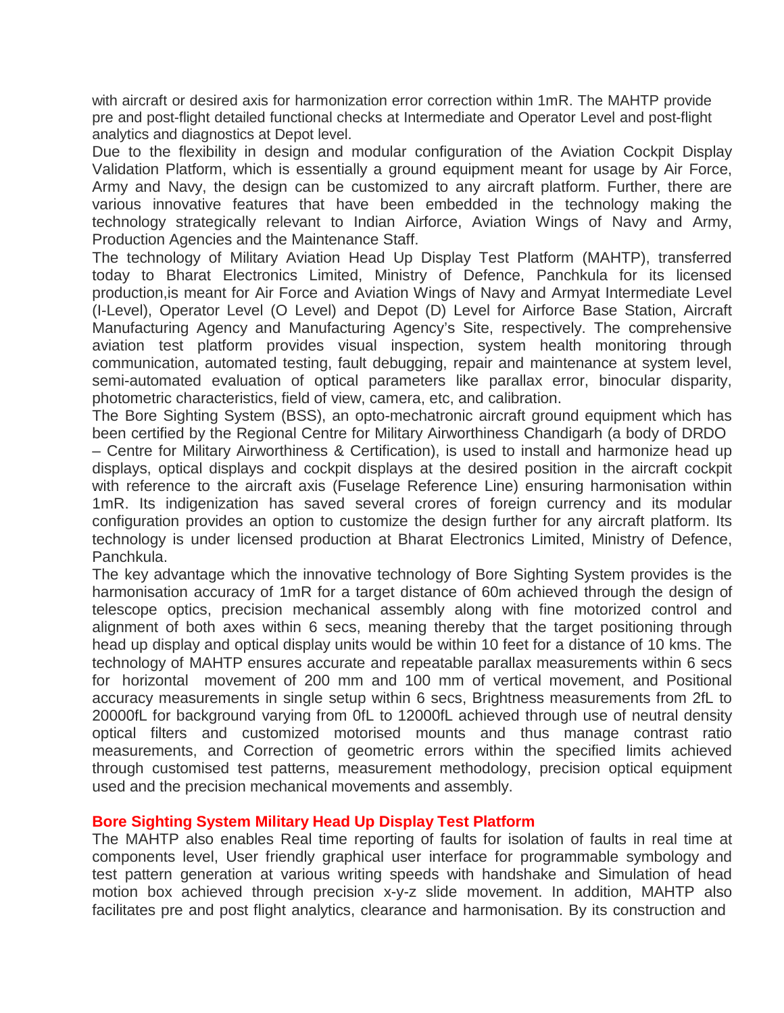with aircraft or desired axis for harmonization error correction within 1mR. The MAHTP provide pre and post-flight detailed functional checks at Intermediate and Operator Level and post-flight analytics and diagnostics at Depot level.

Due to the flexibility in design and modular configuration of the Aviation Cockpit Display Validation Platform, which is essentially a ground equipment meant for usage by Air Force, Army and Navy, the design can be customized to any aircraft platform. Further, there are various innovative features that have been embedded in the technology making the technology strategically relevant to Indian Airforce, Aviation Wings of Navy and Army, Production Agencies and the Maintenance Staff.

The technology of Military Aviation Head Up Display Test Platform (MAHTP), transferred today to Bharat Electronics Limited, Ministry of Defence, Panchkula for its licensed production,is meant for Air Force and Aviation Wings of Navy and Armyat Intermediate Level (I-Level), Operator Level (O Level) and Depot (D) Level for Airforce Base Station, Aircraft Manufacturing Agency and Manufacturing Agency's Site, respectively. The comprehensive aviation test platform provides visual inspection, system health monitoring through communication, automated testing, fault debugging, repair and maintenance at system level, semi-automated evaluation of optical parameters like parallax error, binocular disparity, photometric characteristics, field of view, camera, etc, and calibration.

The Bore Sighting System (BSS), an opto-mechatronic aircraft ground equipment which has been certified by the Regional Centre for Military Airworthiness Chandigarh (a body of DRDO

– Centre for Military Airworthiness & Certification), is used to install and harmonize head up displays, optical displays and cockpit displays at the desired position in the aircraft cockpit with reference to the aircraft axis (Fuselage Reference Line) ensuring harmonisation within 1mR. Its indigenization has saved several crores of foreign currency and its modular configuration provides an option to customize the design further for any aircraft platform. Its technology is under licensed production at Bharat Electronics Limited, Ministry of Defence, Panchkula.

The key advantage which the innovative technology of Bore Sighting System provides is the harmonisation accuracy of 1mR for a target distance of 60m achieved through the design of telescope optics, precision mechanical assembly along with fine motorized control and alignment of both axes within 6 secs, meaning thereby that the target positioning through head up display and optical display units would be within 10 feet for a distance of 10 kms. The technology of MAHTP ensures accurate and repeatable parallax measurements within 6 secs for horizontal movement of 200 mm and 100 mm of vertical movement, and Positional accuracy measurements in single setup within 6 secs, Brightness measurements from 2fL to 20000fL for background varying from 0fL to 12000fL achieved through use of neutral density optical filters and customized motorised mounts and thus manage contrast ratio measurements, and Correction of geometric errors within the specified limits achieved through customised test patterns, measurement methodology, precision optical equipment used and the precision mechanical movements and assembly.

## **Bore Sighting System Military Head Up Display Test Platform**

The MAHTP also enables Real time reporting of faults for isolation of faults in real time at components level, User friendly graphical user interface for programmable symbology and test pattern generation at various writing speeds with handshake and Simulation of head motion box achieved through precision x-y-z slide movement. In addition, MAHTP also facilitates pre and post flight analytics, clearance and harmonisation. By its construction and